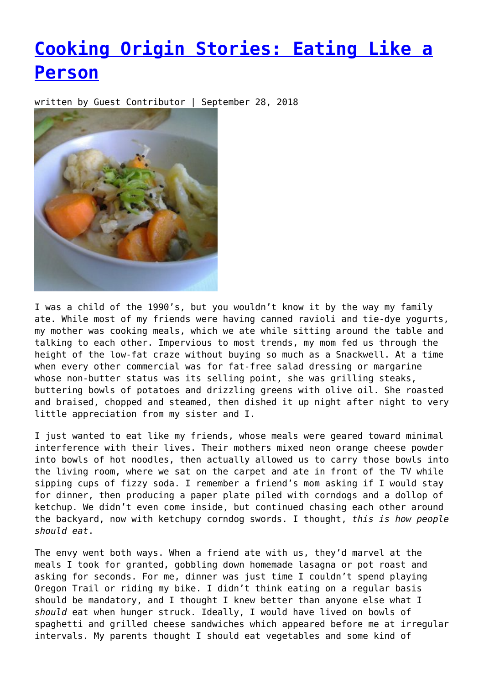## **[Cooking Origin Stories: Eating Like a](https://entropymag.org/cooking-origin-stories-eating-like-a-person/) [Person](https://entropymag.org/cooking-origin-stories-eating-like-a-person/)**

written by Guest Contributor | September 28, 2018



I was a child of the 1990's, but you wouldn't know it by the way my family ate. While most of my friends were having canned ravioli and tie-dye yogurts, my mother was cooking meals, which we ate while sitting around the table and talking to each other. Impervious to most trends, my mom fed us through the height of the low-fat craze without buying so much as a Snackwell. At a time when every other commercial was for fat-free salad dressing or margarine whose non-butter status was its selling point, she was grilling steaks, buttering bowls of potatoes and drizzling greens with olive oil. She roasted and braised, chopped and steamed, then dished it up night after night to very little appreciation from my sister and I.

I just wanted to eat like my friends, whose meals were geared toward minimal interference with their lives. Their mothers mixed neon orange cheese powder into bowls of hot noodles, then actually allowed us to carry those bowls into the living room, where we sat on the carpet and ate in front of the TV while sipping cups of fizzy soda. I remember a friend's mom asking if I would stay for dinner, then producing a paper plate piled with corndogs and a dollop of ketchup. We didn't even come inside, but continued chasing each other around the backyard, now with ketchupy corndog swords. I thought, *this is how people should eat*.

The envy went both ways. When a friend ate with us, they'd marvel at the meals I took for granted, gobbling down homemade lasagna or pot roast and asking for seconds. For me, dinner was just time I couldn't spend playing Oregon Trail or riding my bike. I didn't think eating on a regular basis should be mandatory, and I thought I knew better than anyone else what I *should* eat when hunger struck. Ideally, I would have lived on bowls of spaghetti and grilled cheese sandwiches which appeared before me at irregular intervals. My parents thought I should eat vegetables and some kind of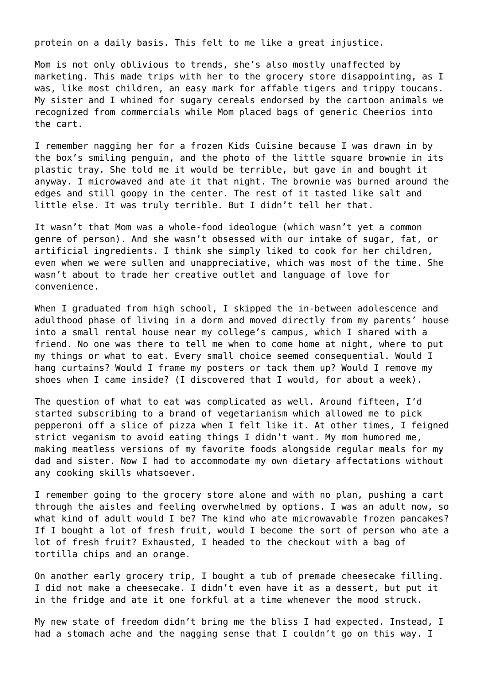protein on a daily basis. This felt to me like a great injustice.

Mom is not only oblivious to trends, she's also mostly unaffected by marketing. This made trips with her to the grocery store disappointing, as I was, like most children, an easy mark for affable tigers and trippy toucans. My sister and I whined for sugary cereals endorsed by the cartoon animals we recognized from commercials while Mom placed bags of generic Cheerios into the cart.

I remember nagging her for a frozen Kids Cuisine because I was drawn in by the box's smiling penguin, and the photo of the little square brownie in its plastic tray. She told me it would be terrible, but gave in and bought it anyway. I microwaved and ate it that night. The brownie was burned around the edges and still goopy in the center. The rest of it tasted like salt and little else. It was truly terrible. But I didn't tell her that.

It wasn't that Mom was a whole-food ideologue (which wasn't yet a common genre of person). And she wasn't obsessed with our intake of sugar, fat, or artificial ingredients. I think she simply liked to cook for her children, even when we were sullen and unappreciative, which was most of the time. She wasn't about to trade her creative outlet and language of love for convenience.

When I graduated from high school, I skipped the in-between adolescence and adulthood phase of living in a dorm and moved directly from my parents' house into a small rental house near my college's campus, which I shared with a friend. No one was there to tell me when to come home at night, where to put my things or what to eat. Every small choice seemed consequential. Would I hang curtains? Would I frame my posters or tack them up? Would I remove my shoes when I came inside? (I discovered that I would, for about a week).

The question of what to eat was complicated as well. Around fifteen, I'd started subscribing to a brand of vegetarianism which allowed me to pick pepperoni off a slice of pizza when I felt like it. At other times, I feigned strict veganism to avoid eating things I didn't want. My mom humored me, making meatless versions of my favorite foods alongside regular meals for my dad and sister. Now I had to accommodate my own dietary affectations without any cooking skills whatsoever.

I remember going to the grocery store alone and with no plan, pushing a cart through the aisles and feeling overwhelmed by options. I was an adult now, so what kind of adult would I be? The kind who ate microwavable frozen pancakes? If I bought a lot of fresh fruit, would I become the sort of person who ate a lot of fresh fruit? Exhausted, I headed to the checkout with a bag of tortilla chips and an orange.

On another early grocery trip, I bought a tub of premade cheesecake filling. I did not make a cheesecake. I didn't even have it as a dessert, but put it in the fridge and ate it one forkful at a time whenever the mood struck.

My new state of freedom didn't bring me the bliss I had expected. Instead, I had a stomach ache and the nagging sense that I couldn't go on this way. I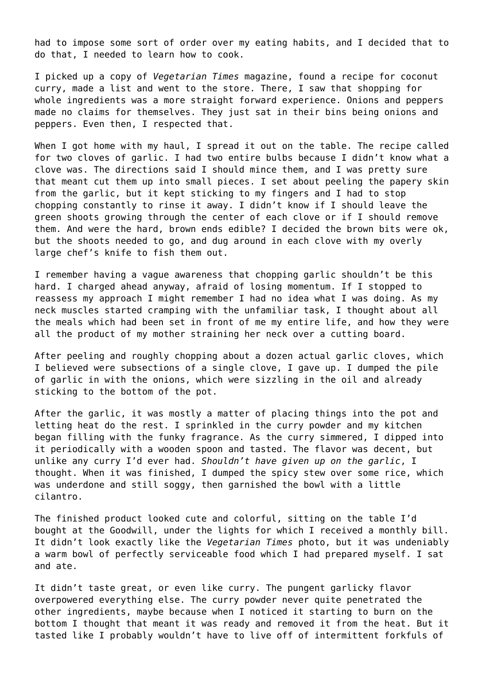had to impose some sort of order over my eating habits, and I decided that to do that, I needed to learn how to cook.

I picked up a copy of *Vegetarian Times* magazine, found a recipe for coconut curry, made a list and went to the store. There, I saw that shopping for whole ingredients was a more straight forward experience. Onions and peppers made no claims for themselves. They just sat in their bins being onions and peppers. Even then, I respected that.

When I got home with my haul, I spread it out on the table. The recipe called for two cloves of garlic. I had two entire bulbs because I didn't know what a clove was. The directions said I should mince them, and I was pretty sure that meant cut them up into small pieces. I set about peeling the papery skin from the garlic, but it kept sticking to my fingers and I had to stop chopping constantly to rinse it away. I didn't know if I should leave the green shoots growing through the center of each clove or if I should remove them. And were the hard, brown ends edible? I decided the brown bits were ok, but the shoots needed to go, and dug around in each clove with my overly large chef's knife to fish them out.

I remember having a vague awareness that chopping garlic shouldn't be this hard. I charged ahead anyway, afraid of losing momentum. If I stopped to reassess my approach I might remember I had no idea what I was doing. As my neck muscles started cramping with the unfamiliar task, I thought about all the meals which had been set in front of me my entire life, and how they were all the product of my mother straining her neck over a cutting board.

After peeling and roughly chopping about a dozen actual garlic cloves, which I believed were subsections of a single clove, I gave up. I dumped the pile of garlic in with the onions, which were sizzling in the oil and already sticking to the bottom of the pot.

After the garlic, it was mostly a matter of placing things into the pot and letting heat do the rest. I sprinkled in the curry powder and my kitchen began filling with the funky fragrance. As the curry simmered, I dipped into it periodically with a wooden spoon and tasted. The flavor was decent, but unlike any curry I'd ever had. *Shouldn't have given up on the garlic*, I thought. When it was finished, I dumped the spicy stew over some rice, which was underdone and still soggy, then garnished the bowl with a little cilantro.

The finished product looked cute and colorful, sitting on the table I'd bought at the Goodwill, under the lights for which I received a monthly bill. It didn't look exactly like the *Vegetarian Times* photo, but it was undeniably a warm bowl of perfectly serviceable food which I had prepared myself. I sat and ate.

It didn't taste great, or even like curry. The pungent garlicky flavor overpowered everything else. The curry powder never quite penetrated the other ingredients, maybe because when I noticed it starting to burn on the bottom I thought that meant it was ready and removed it from the heat. But it tasted like I probably wouldn't have to live off of intermittent forkfuls of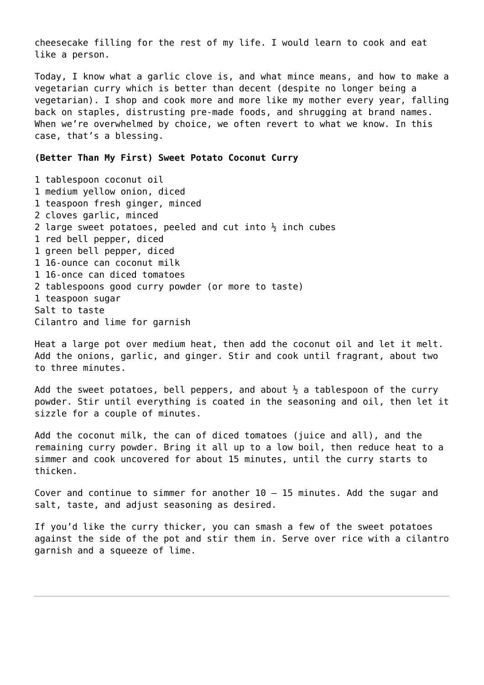cheesecake filling for the rest of my life. I would learn to cook and eat like a person.

Today, I know what a garlic clove is, and what mince means, and how to make a vegetarian curry which is better than decent (despite no longer being a vegetarian). I shop and cook more and more like my mother every year, falling back on staples, distrusting pre-made foods, and shrugging at brand names. When we're overwhelmed by choice, we often revert to what we know. In this case, that's a blessing.

## **(Better Than My First) Sweet Potato Coconut Curry**

1 tablespoon coconut oil 1 medium yellow onion, diced 1 teaspoon fresh ginger, minced 2 cloves garlic, minced 2 large sweet potatoes, peeled and cut into  $\frac{1}{2}$  inch cubes 1 red bell pepper, diced 1 green bell pepper, diced 1 16-ounce can coconut milk 1 16-once can diced tomatoes 2 tablespoons good curry powder (or more to taste) 1 teaspoon sugar Salt to taste Cilantro and lime for garnish

Heat a large pot over medium heat, then add the coconut oil and let it melt. Add the onions, garlic, and ginger. Stir and cook until fragrant, about two to three minutes.

Add the sweet potatoes, bell peppers, and about  $\frac{1}{2}$  a tablespoon of the curry powder. Stir until everything is coated in the seasoning and oil, then let it sizzle for a couple of minutes.

Add the coconut milk, the can of diced tomatoes (juice and all), and the remaining curry powder. Bring it all up to a low boil, then reduce heat to a simmer and cook uncovered for about 15 minutes, until the curry starts to thicken.

Cover and continue to simmer for another 10 – 15 minutes. Add the sugar and salt, taste, and adjust seasoning as desired.

If you'd like the curry thicker, you can smash a few of the sweet potatoes against the side of the pot and stir them in. Serve over rice with a cilantro garnish and a squeeze of lime.